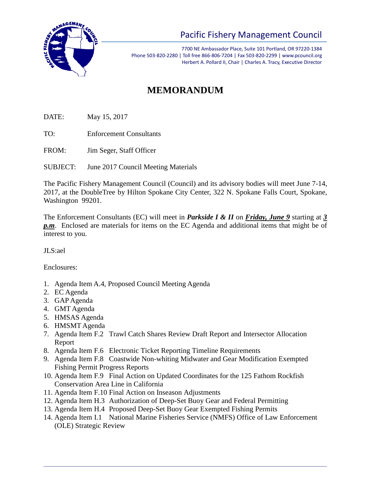

## Pacific Fishery Management Council

7700 NE Ambassador Place, Suite 101 Portland, OR 97220-1384 Phone 503-820-2280 | Toll free 866-806-7204 | Fax 503-820-2299 | www.pcouncil.org Herbert A. Pollard II, Chair | Charles A. Tracy, Executive Director

## **MEMORANDUM**

DATE: May 15, 2017

TO: Enforcement Consultants

FROM: Jim Seger, Staff Officer

SUBJECT: June 2017 Council Meeting Materials

The Pacific Fishery Management Council (Council) and its advisory bodies will meet June 7-14, 2017, at the DoubleTree by Hilton Spokane City Center, 322 N. Spokane Falls Court, Spokane, Washington 99201.

The Enforcement Consultants (EC) will meet in *Parkside I & II* on *Friday, June 9* starting at *3 p.m*. Enclosed are materials for items on the EC Agenda and additional items that might be of interest to you.

JLS:ael

Enclosures:

- 1. Agenda Item A.4, Proposed Council Meeting Agenda
- 2. EC Agenda
- 3. GAP Agenda
- 4. GMT Agenda
- 5. HMSAS Agenda
- 6. HMSMT Agenda
- 7. Agenda Item F.2 Trawl Catch Shares Review Draft Report and Intersector Allocation Report
- 8. Agenda Item F.6 Electronic Ticket Reporting Timeline Requirements
- 9. Agenda Item F.8 Coastwide Non-whiting Midwater and Gear Modification Exempted Fishing Permit Progress Reports
- 10. Agenda Item F.9 Final Action on Updated Coordinates for the 125 Fathom Rockfish Conservation Area Line in California
- 11. Agenda Item F.10 Final Action on Inseason Adjustments
- 12. Agenda Item H.3 Authorization of Deep-Set Buoy Gear and Federal Permitting
- 13. Agenda Item H.4 Proposed Deep-Set Buoy Gear Exempted Fishing Permits
- 14. Agenda Item I.1 National Marine Fisheries Service (NMFS) Office of Law Enforcement (OLE) Strategic Review